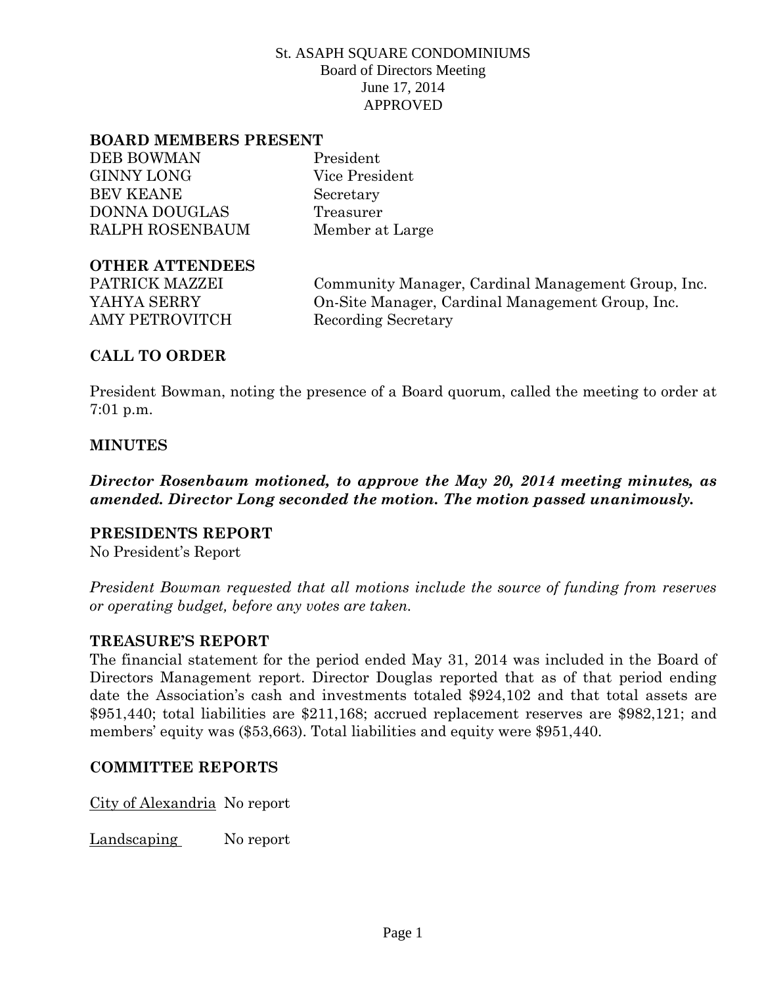#### **BOARD MEMBERS PRESENT**

DEB BOWMAN President GINNY LONG Vice President BEV KEANE Secretary DONNA DOUGLAS Treasurer RALPH ROSENBAUM Member at Large

#### **OTHER ATTENDEES**

AMY PETROVITCH Recording Secretary

PATRICK MAZZEI Community Manager, Cardinal Management Group, Inc. YAHYA SERRY On-Site Manager, Cardinal Management Group, Inc.

# **CALL TO ORDER**

President Bowman, noting the presence of a Board quorum, called the meeting to order at 7:01 p.m.

## **MINUTES**

*Director Rosenbaum motioned, to approve the May 20, 2014 meeting minutes, as amended. Director Long seconded the motion. The motion passed unanimously.*

## **PRESIDENTS REPORT**

No President's Report

*President Bowman requested that all motions include the source of funding from reserves or operating budget, before any votes are taken.*

## **TREASURE'S REPORT**

The financial statement for the period ended May 31, 2014 was included in the Board of Directors Management report. Director Douglas reported that as of that period ending date the Association's cash and investments totaled \$924,102 and that total assets are \$951,440; total liabilities are \$211,168; accrued replacement reserves are \$982,121; and members' equity was (\$53,663). Total liabilities and equity were \$951,440.

## **COMMITTEE REPORTS**

City of Alexandria No report

Landscaping No report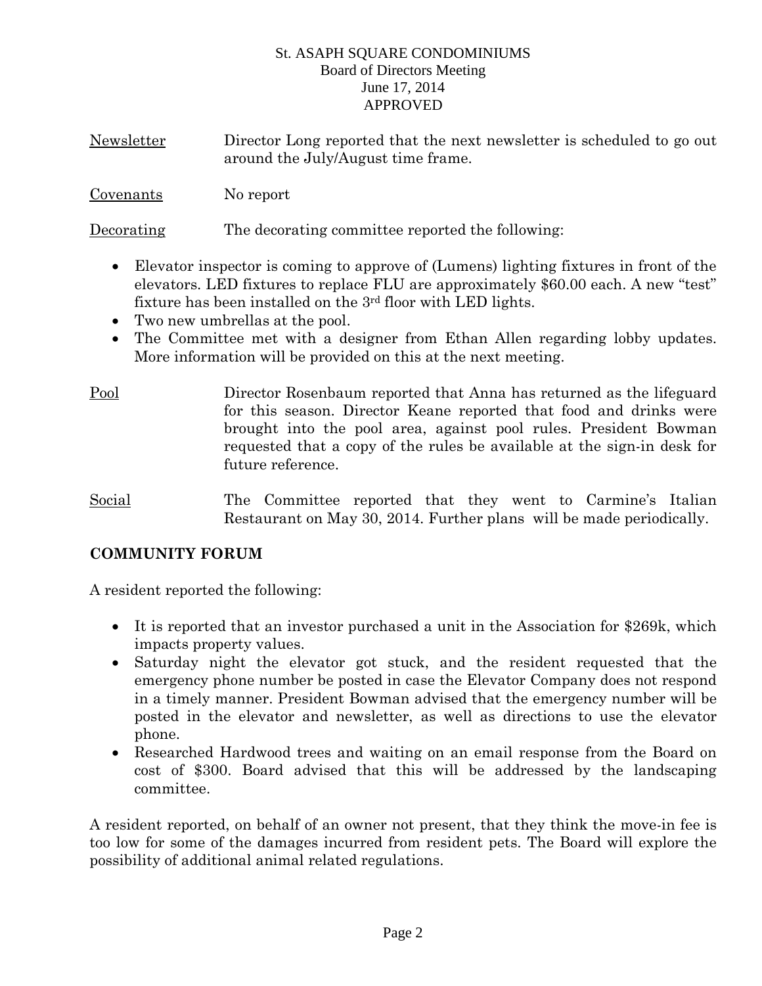| <b>Newsletter</b> | Director Long reported that the next newsletter is scheduled to go out |
|-------------------|------------------------------------------------------------------------|
|                   | around the July/August time frame.                                     |

Covenants No report

Decorating The decorating committee reported the following:

- Elevator inspector is coming to approve of (Lumens) lighting fixtures in front of the elevators. LED fixtures to replace FLU are approximately \$60.00 each. A new "test" fixture has been installed on the 3rd floor with LED lights.
- Two new umbrellas at the pool.
- The Committee met with a designer from Ethan Allen regarding lobby updates. More information will be provided on this at the next meeting.
- Pool Director Rosenbaum reported that Anna has returned as the lifeguard for this season. Director Keane reported that food and drinks were brought into the pool area, against pool rules. President Bowman requested that a copy of the rules be available at the sign-in desk for future reference.
- Social The Committee reported that they went to Carmine's Italian Restaurant on May 30, 2014. Further plans will be made periodically.

# **COMMUNITY FORUM**

A resident reported the following:

- It is reported that an investor purchased a unit in the Association for \$269k, which impacts property values.
- Saturday night the elevator got stuck, and the resident requested that the emergency phone number be posted in case the Elevator Company does not respond in a timely manner. President Bowman advised that the emergency number will be posted in the elevator and newsletter, as well as directions to use the elevator phone.
- Researched Hardwood trees and waiting on an email response from the Board on cost of \$300. Board advised that this will be addressed by the landscaping committee.

A resident reported, on behalf of an owner not present, that they think the move-in fee is too low for some of the damages incurred from resident pets. The Board will explore the possibility of additional animal related regulations.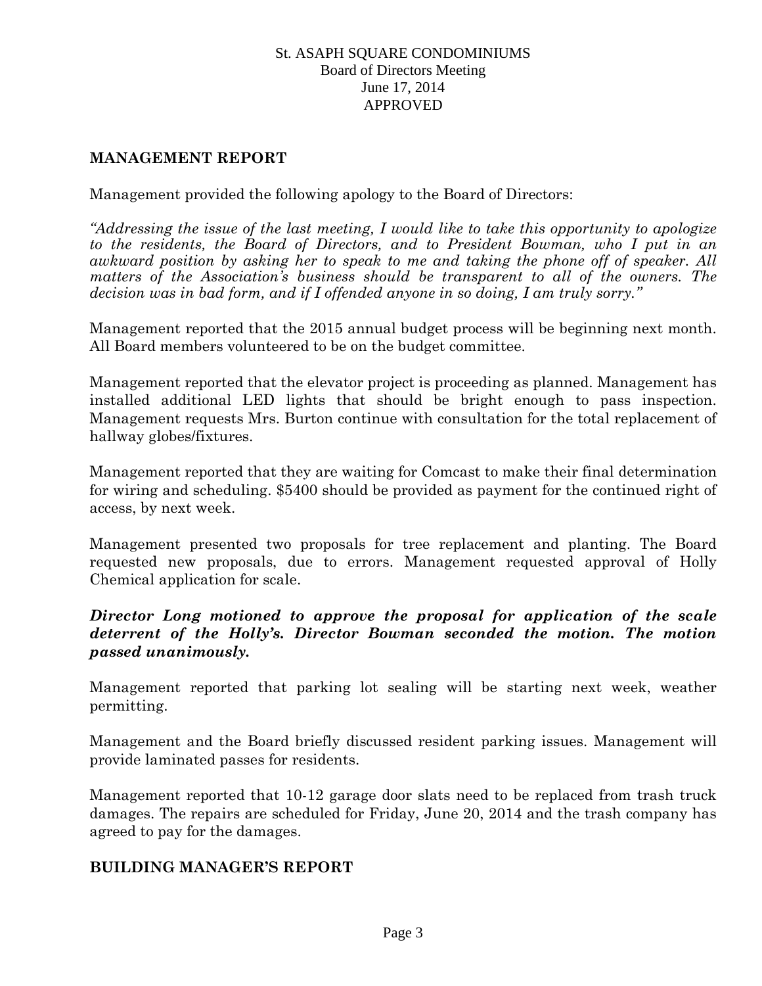## **MANAGEMENT REPORT**

## Management provided the following apology to the Board of Directors:

*"Addressing the issue of the last meeting, I would like to take this opportunity to apologize*  to the residents, the Board of Directors, and to President Bowman, who I put in an *awkward position by asking her to speak to me and taking the phone off of speaker. All matters of the Association's business should be transparent to all of the owners. The decision was in bad form, and if I offended anyone in so doing, I am truly sorry."*

Management reported that the 2015 annual budget process will be beginning next month. All Board members volunteered to be on the budget committee.

Management reported that the elevator project is proceeding as planned. Management has installed additional LED lights that should be bright enough to pass inspection. Management requests Mrs. Burton continue with consultation for the total replacement of hallway globes/fixtures.

Management reported that they are waiting for Comcast to make their final determination for wiring and scheduling. \$5400 should be provided as payment for the continued right of access, by next week.

Management presented two proposals for tree replacement and planting. The Board requested new proposals, due to errors. Management requested approval of Holly Chemical application for scale.

## *Director Long motioned to approve the proposal for application of the scale deterrent of the Holly's. Director Bowman seconded the motion. The motion passed unanimously.*

Management reported that parking lot sealing will be starting next week, weather permitting.

Management and the Board briefly discussed resident parking issues. Management will provide laminated passes for residents.

Management reported that 10-12 garage door slats need to be replaced from trash truck damages. The repairs are scheduled for Friday, June 20, 2014 and the trash company has agreed to pay for the damages.

## **BUILDING MANAGER'S REPORT**